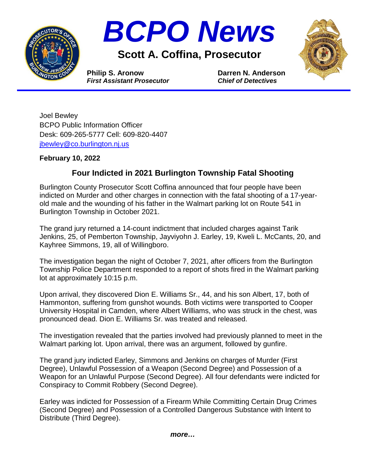



**Scott A. Coffina, Prosecutor**



*First Assistant Prosecutor**Chief of Detectives*

**Philip S. Aronow Darren N. Anderson**

Joel Bewley BCPO Public Information Officer Desk: 609-265-5777 Cell: 609-820-4407 [jbewley@co.burlington.nj.us](mailto:jbewley@co.burlington.nj.us)

## **February 10, 2022**

## **Four Indicted in 2021 Burlington Township Fatal Shooting**

Burlington County Prosecutor Scott Coffina announced that four people have been indicted on Murder and other charges in connection with the fatal shooting of a 17-yearold male and the wounding of his father in the Walmart parking lot on Route 541 in Burlington Township in October 2021.

The grand jury returned a 14-count indictment that included charges against Tarik Jenkins, 25, of Pemberton Township, Jayviyohn J. Earley, 19, Kweli L. McCants, 20, and Kayhree Simmons, 19, all of Willingboro.

The investigation began the night of October 7, 2021, after officers from the Burlington Township Police Department responded to a report of shots fired in the Walmart parking lot at approximately 10:15 p.m.

Upon arrival, they discovered Dion E. Williams Sr., 44, and his son Albert, 17, both of Hammonton, suffering from gunshot wounds. Both victims were transported to Cooper University Hospital in Camden, where Albert Williams, who was struck in the chest, was pronounced dead. Dion E. Williams Sr. was treated and released.

The investigation revealed that the parties involved had previously planned to meet in the Walmart parking lot. Upon arrival, there was an argument, followed by gunfire.

The grand jury indicted Earley, Simmons and Jenkins on charges of Murder (First Degree), Unlawful Possession of a Weapon (Second Degree) and Possession of a Weapon for an Unlawful Purpose (Second Degree). All four defendants were indicted for Conspiracy to Commit Robbery (Second Degree).

Earley was indicted for Possession of a Firearm While Committing Certain Drug Crimes (Second Degree) and Possession of a Controlled Dangerous Substance with Intent to Distribute (Third Degree).

*more…*